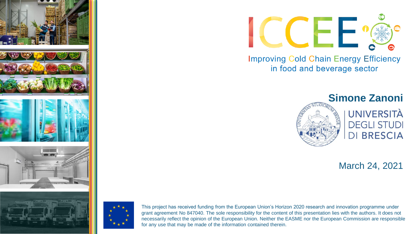



This project has received funding from the European Union's Horizon 2020 research and innovation programme under grant agreement No 847040. The sole responsibility for the content of this presentation lies with the authors. It does not necessarily reflect the opinion of the European Union. Neither the EASME nor the European Commission are responsible for any use that may be made of the information contained therein.



**Improving Cold Chain Energy Efficiency** in food and beverage sector



**UNIVERSITÀ DEGLI STUDI DI BRESCIA** 

March 24, 2021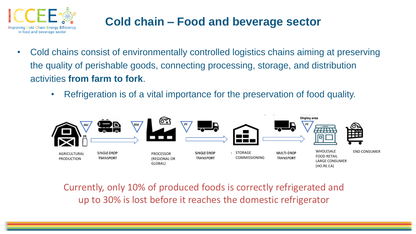

# **Cold chain – Food and beverage sector**

- Cold chains consist of environmentally controlled logistics chains aiming at preserving the quality of perishable goods, connecting processing, storage, and distribution activities **from farm to fork**.
	- Refrigeration is of a vital importance for the preservation of food quality.



Currently, only 10% of produced foods is correctly refrigerated and up to 30% is lost before it reaches the domestic refrigerator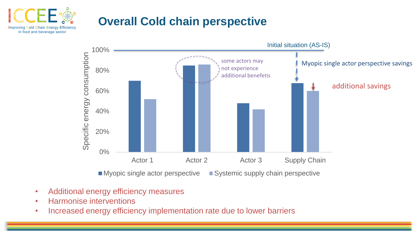

# **Overall Cold chain perspective**



- Additional energy efficiency measures
- Harmonise interventions
- Increased energy efficiency implementation rate due to lower barriers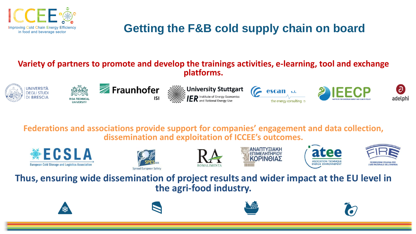

# **Getting the F&B cold supply chain on board**

#### **Variety of partners to promote and develop the trainings activities, e-learning, tool and exchange platforms.**





**I INIVERSI** 









**Federations and associations provide support for companies' engagement and data collection, dissemination and exploitation of ICCEE's outcomes.**













**Thus, ensuring wide dissemination of project results and wider impact at the EU level in the agri-food industry.**







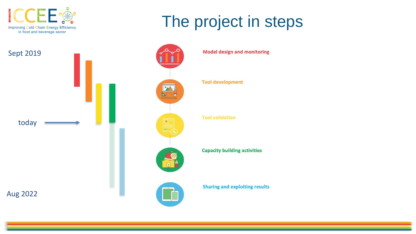





**Model design and monitoring** 

The project in steps

**Tool development** 

**Tool validation** 

**Capacity building activities** 

**Sharing and exploiting results**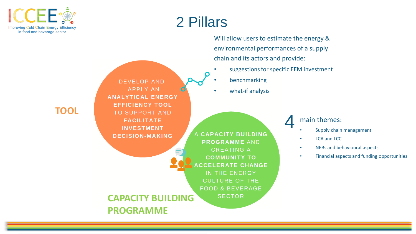

# 2 Pillars

Will allow users to estimate the energy & environmental performances of a supply chain and its actors and provide:

- suggestions for specific EEM investment
	- **benchmarking**
- what-if analysis

A CAPACITY BUILDING **PROGRAMME AND CREATING A COMMUNITY TO ACCELERATE CHANGE** IN THE ENERGY **CULTURE OF THE FOOD & BEVERAGE SECTOR CAPACITY BUILDING** 

#### main themes: 4

- Supply chain management
- LCA and LCC
- NEBs and behavioural aspects
- Financial aspects and funding opportunities

### **TOOL**

**PROGRAMME**

**DEVELOP AND APPLY AN ANALYTICAL ENERGY EFFICIENCY TOOL TO SUPPORT AND FACILITATE INVESTMENT** 

**DECISION-MAKING**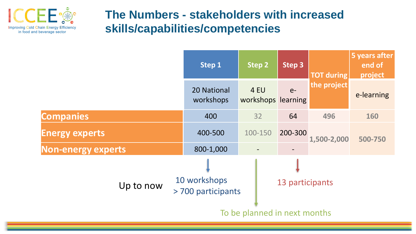

### **The Numbers - stakeholders with increased skills/capabilities/competencies**

|                           | Step 1                             | Step 2                     | Step 3          | <b>TOT during</b> | 5 years after<br>end of<br>project |
|---------------------------|------------------------------------|----------------------------|-----------------|-------------------|------------------------------------|
|                           | 20 National<br>workshops           | 4 EU<br>workshops learning | $e-$            | the project       | e-learning                         |
| <b>Companies</b>          | 400                                | 32                         | 64              | 496               | 160                                |
| <b>Energy experts</b>     | 400-500                            | 100-150                    | 200-300         | 1,500-2,000       | 500-750                            |
| <b>Non-energy experts</b> | 800-1,000                          |                            |                 |                   |                                    |
| Up to now                 | 10 workshops<br>> 700 participants |                            | 13 participants |                   |                                    |
|                           | To be planned in next months       |                            |                 |                   |                                    |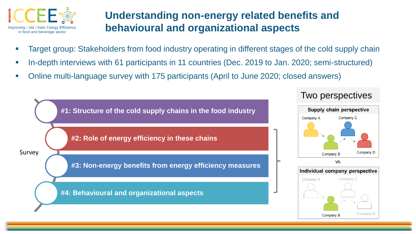

### **Understanding non-energy related benefits and behavioural and organizational aspects**

- Target group: Stakeholders from food industry operating in different stages of the cold supply chain
- In-depth interviews with 61 participants in 11 countries (Dec. 2019 to Jan. 2020; semi-structured)
- Online multi-language survey with 175 participants (April to June 2020; closed answers)



### Two perspectives



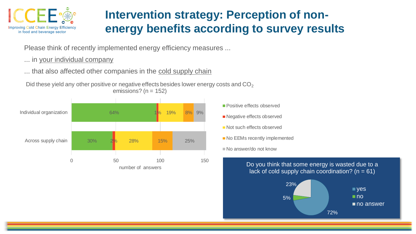

# **Intervention strategy: Perception of nonenergy benefits according to survey results**

Please think of recently implemented energy efficiency measures ...

... in your individual company

... that also affected other companies in the cold supply chain

Did these yield any other positive or negative effects besides lower energy costs and  $CO<sub>2</sub>$ emissions? ( $n = 152$ )



- **Positive effects observed** ■ Negative effects observed Not such effects observed
- No EEMs recently implemented

No answer/do not know

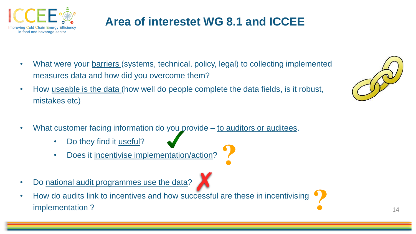

# **Area of interestet WG 8.1 and ICCEE**

- What were your **barriers** (systems, technical, policy, legal) to collecting implemented measures data and how did you overcome them?
- How useable is the data (how well do people complete the data fields, is it robust, mistakes etc)
- What customer facing information do you provide to auditors or auditees.
	- Do they find it useful?
	- Does it incentivise implementation/action?
- Do national audit programmes use the data?
- How do audits link to incentives and how successful are these in incentivising implementation ?